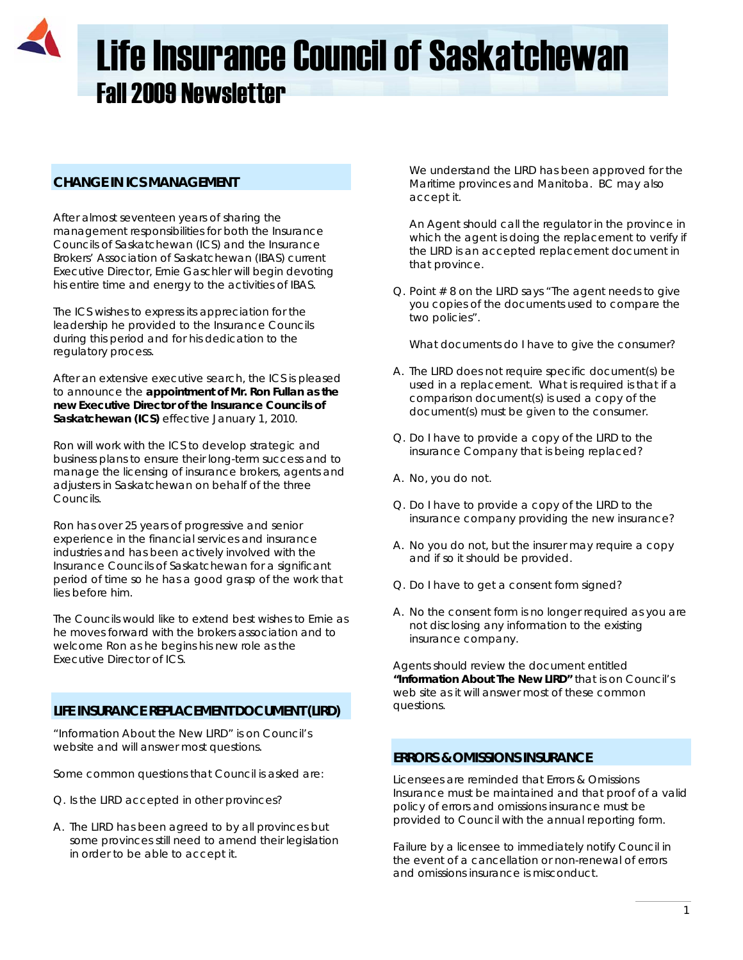# Life Insurance Council of Saskatchewan Fall 2009 Newsletter

# **CHANGE IN ICS MANAGEMENT**

After almost seventeen years of sharing the management responsibilities for both the Insurance Councils of Saskatchewan (ICS) and the Insurance Brokers' Association of Saskatchewan (IBAS) current Executive Director, Ernie Gaschler will begin devoting his entire time and energy to the activities of IBAS.

The ICS wishes to express its appreciation for the leadership he provided to the Insurance Councils during this period and for his dedication to the regulatory process.

After an extensive executive search, the ICS is pleased to announce the **appointment of Mr. Ron Fullan as the new Executive Director of the Insurance Councils of Saskatchewan (ICS)** effective January 1, 2010.

Ron will work with the ICS to develop strategic and business plans to ensure their long-term success and to manage the licensing of insurance brokers, agents and adjusters in Saskatchewan on behalf of the three Councils.

Ron has over 25 years of progressive and senior experience in the financial services and insurance industries and has been actively involved with the Insurance Councils of Saskatchewan for a significant period of time so he has a good grasp of the work that lies before him.

The Councils would like to extend best wishes to Ernie as he moves forward with the brokers association and to welcome Ron as he begins his new role as the Executive Director of ICS.

# **LIFE INSURANCE REPLACEMENT DOCUMENT (LIRD)**

"Information About the New LIRD" is on Council's website and will answer most questions.

Some common questions that Council is asked are:

- Q. Is the LIRD accepted in other provinces?
- A. The LIRD has been agreed to by all provinces but some provinces still need to amend their legislation in order to be able to accept it.

We understand the LIRD has been approved for the Maritime provinces and Manitoba. BC may also accept it.

 An Agent should call the regulator in the province in which the agent is doing the replacement to verify if the LIRD is an accepted replacement document in that province.

Q. Point # 8 on the LIRD says "The agent needs to give you copies of the documents used to compare the two policies".

What documents do I have to give the consumer?

- A. The LIRD does not require specific document(s) be used in a replacement. What is required is that if a comparison document(s) is used a copy of the document(s) must be given to the consumer.
- Q. Do I have to provide a copy of the LIRD to the insurance Company that is being replaced?
- A. No, you do not.
- Q. Do I have to provide a copy of the LIRD to the insurance company providing the new insurance?
- A. No you do not, but the insurer may require a copy and if so it should be provided.
- Q. Do I have to get a consent form signed?
- A. No the consent form is no longer required as you are not disclosing any information to the existing insurance company.

Agents should review the document entitled **"Information About The New LIRD"** that is on Council's web site as it will answer most of these common questions.

# **ERRORS & OMISSIONS INSURANCE**

Licensees are reminded that Errors & Omissions Insurance must be maintained and that proof of a valid policy of errors and omissions insurance must be provided to Council with the annual reporting form.

Failure by a licensee to immediately notify Council in the event of a cancellation or non-renewal of errors and omissions insurance is misconduct.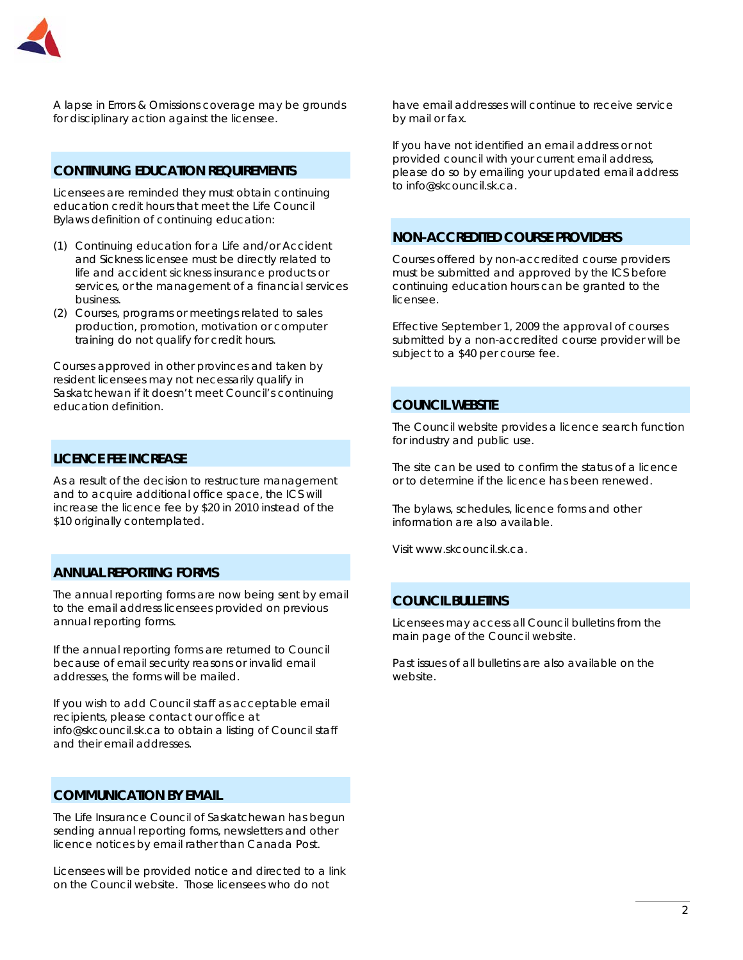

A lapse in Errors & Omissions coverage may be grounds for disciplinary action against the licensee.

# **CONTINUING EDUCATION REQUIREMENTS**

Licensees are reminded they must obtain continuing education credit hours that meet the Life Council Bylaws definition of continuing education:

- (1) Continuing education for a Life and/or Accident and Sickness licensee must be directly related to life and accident sickness insurance products or services, or the management of a financial services business.
- (2) Courses, programs or meetings related to sales production, promotion, motivation or computer training *do not qualify for credit hours*.

Courses approved in other provinces and taken by resident licensees may not necessarily qualify in Saskatchewan if it doesn't meet Council's continuing education definition.

# **LICENCE FEE INCREASE**

As a result of the decision to restructure management and to acquire additional office space, the ICS will increase the licence fee by \$20 in 2010 instead of the \$10 originally contemplated.

# **ANNUAL REPORTING FORMS**

The annual reporting forms are now being sent by email to the email address licensees provided on previous annual reporting forms.

If the annual reporting forms are returned to Council because of email security reasons or invalid email addresses, the forms will be mailed.

If you wish to add Council staff as acceptable email recipients, please contact our office at info@skcouncil.sk.ca to obtain a listing of Council staff and their email addresses.

# **COMMUNICATION BY EMAIL**

The Life Insurance Council of Saskatchewan has begun sending annual reporting forms, newsletters and other licence notices by email rather than Canada Post.

Licensees will be provided notice and directed to a link on the Council website. Those licensees who do not

have email addresses will continue to receive service by mail or fax.

If you have not identified an email address or not provided council with your current email address, please do so by emailing your updated email address to info@skcouncil.sk.ca.

# **NON-ACCREDITED COURSE PROVIDERS**

Courses offered by non-accredited course providers must be submitted and approved by the ICS before continuing education hours can be granted to the licensee.

Effective September 1, 2009 the approval of courses submitted by a non-accredited course provider will be subject to a \$40 per course fee.

### **COUNCIL WEBSITE**

The Council website provides a licence search function for industry and public use.

The site can be used to confirm the status of a licence or to determine if the licence has been renewed.

The bylaws, schedules, licence forms and other information are also available.

Visit www.skcouncil.sk.ca.

## **COUNCIL BULLETINS**

Licensees may access all Council bulletins from the main page of the Council website.

Past issues of all bulletins are also available on the website.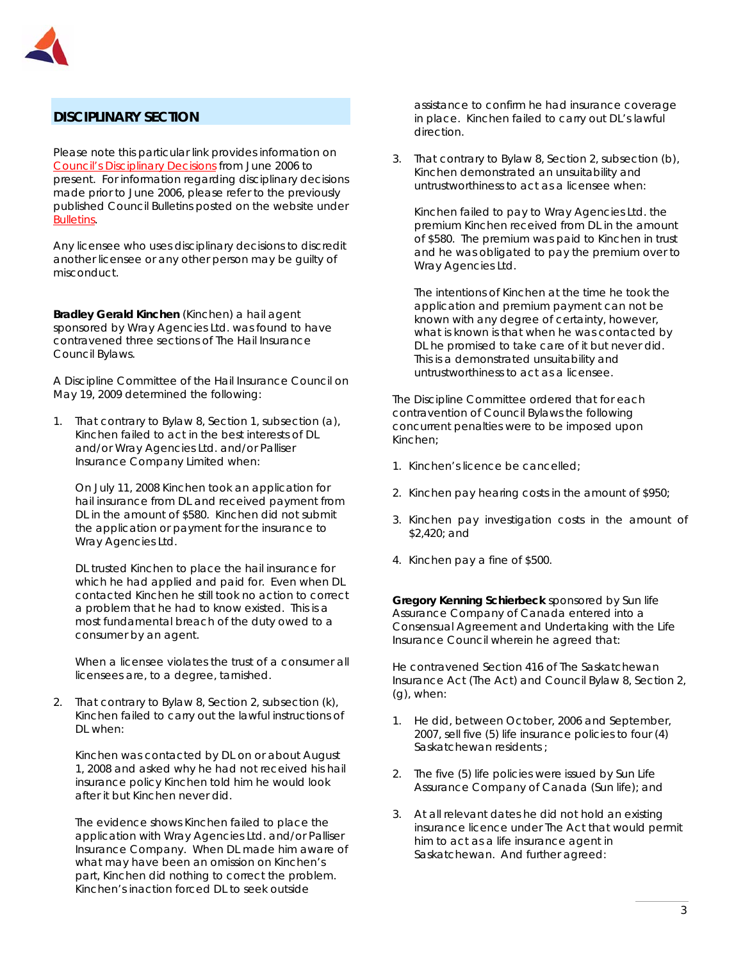

# **DISCIPLINARY SECTION**

Please note this particular link provides information on *Council's Disciplinary Decisions* from June 2006 to present. For information regarding disciplinary decisions made prior to June 2006, please refer to the previously published Council Bulletins posted on the website under *Bulletins*.

Any licensee who uses disciplinary decisions to discredit another licensee or any other person may be guilty of misconduct.

**Bradley Gerald Kinchen** (Kinchen) a hail agent sponsored by Wray Agencies Ltd. was found to have contravened three sections of The Hail Insurance Council Bylaws.

A Discipline Committee of the Hail Insurance Council on May 19, 2009 determined the following:

1. That contrary to Bylaw 8, Section 1, subsection (a), Kinchen failed to act in the best interests of DL and/or Wray Agencies Ltd. and/or Palliser Insurance Company Limited when:

On July 11, 2008 Kinchen took an application for hail insurance from DL and received payment from DL in the amount of \$580. Kinchen did not submit the application or payment for the insurance to Wray Agencies Ltd.

DL trusted Kinchen to place the hail insurance for which he had applied and paid for. Even when DL contacted Kinchen he still took no action to correct a problem that he had to know existed. This is a most fundamental breach of the duty owed to a consumer by an agent.

When a licensee violates the trust of a consumer all licensees are, to a degree, tarnished.

2. That contrary to Bylaw 8, Section 2, subsection (k), Kinchen failed to carry out the lawful instructions of DL when:

Kinchen was contacted by DL on or about August 1, 2008 and asked why he had not received his hail insurance policy Kinchen told him he would look after it but Kinchen never did.

The evidence shows Kinchen failed to place the application with Wray Agencies Ltd. and/or Palliser Insurance Company. When DL made him aware of what may have been an omission on Kinchen's part, Kinchen did nothing to correct the problem. Kinchen's inaction forced DL to seek outside

assistance to confirm he had insurance coverage in place. Kinchen failed to carry out DL's lawful direction.

3. That contrary to Bylaw 8, Section 2, subsection (b), Kinchen demonstrated an unsuitability and untrustworthiness to act as a licensee when:

Kinchen failed to pay to Wray Agencies Ltd. the premium Kinchen received from DL in the amount of \$580. The premium was paid to Kinchen in trust and he was obligated to pay the premium over to Wray Agencies Ltd.

The intentions of Kinchen at the time he took the application and premium payment can not be known with any degree of certainty, however, what is known is that when he was contacted by DL he promised to take care of it but never did. This is a demonstrated unsuitability and untrustworthiness to act as a licensee.

The Discipline Committee ordered that for each contravention of Council Bylaws the following concurrent penalties were to be imposed upon Kinchen;

- 1. Kinchen's licence be cancelled;
- 2. Kinchen pay hearing costs in the amount of \$950;
- 3. Kinchen pay investigation costs in the amount of \$2,420; and
- 4. Kinchen pay a fine of \$500.

**Gregory Kenning Schierbeck** sponsored by Sun life Assurance Company of Canada entered into a Consensual Agreement and Undertaking with the Life Insurance Council wherein he agreed that:

He contravened Section 416 of *The Saskatchewan Insurance Act* (The Act) and Council Bylaw 8, Section 2, (g), when:

- 1. He did, between October, 2006 and September, 2007, sell five (5) life insurance policies to four (4) Saskatchewan residents ;
- 2. The five (5) life policies were issued by Sun Life Assurance Company of Canada (Sun life); and
- 3. At all relevant dates he did not hold an existing insurance licence under The Act that would permit him to act as a life insurance agent in Saskatchewan. And further agreed: